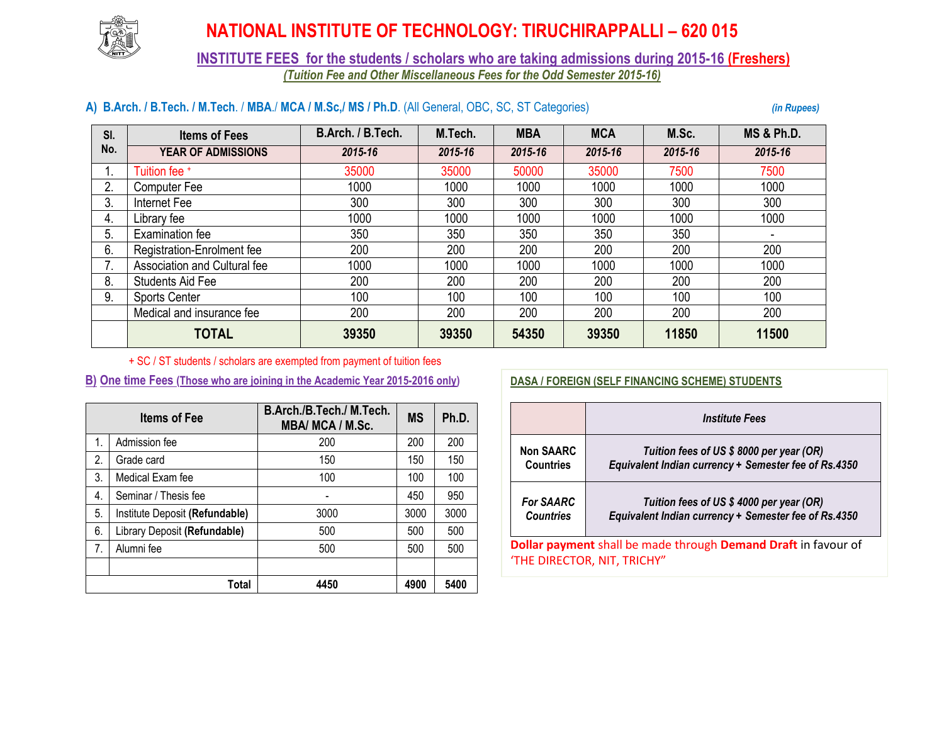

## **NATIONAL INSTITUTE OF TECHNOLOGY: TIRUCHIRAPPALLI – 620 015**

### **INSTITUTE FEES for the students / scholars who are taking admissions during 2015-16 (Freshers)** *(Tuition Fee and Other Miscellaneous Fees for the Odd Semester 2015-16)*

#### **A) B.Arch. / B.Tech. / M.Tech**. / **MBA**./ **MCA / M.Sc,/ MS / Ph.D**. (All General, OBC, SC, ST Categories) *(in Rupees)*

| SI. | <b>Items of Fees</b>         | B.Arch. / B.Tech. | M.Tech. | <b>MBA</b> | <b>MCA</b> | M.Sc.   | <b>MS &amp; Ph.D.</b>    |  |
|-----|------------------------------|-------------------|---------|------------|------------|---------|--------------------------|--|
| No. | <b>YEAR OF ADMISSIONS</b>    | 2015-16           | 2015-16 | 2015-16    | 2015-16    | 2015-16 | 2015-16                  |  |
| ι.  | Tuition fee +                | 35000             | 35000   | 50000      | 35000      | 7500    | 7500                     |  |
| 2.  | <b>Computer Fee</b>          | 1000              | 1000    | 1000       | 1000       | 1000    | 1000                     |  |
| 3.  | Internet Fee                 | 300               | 300     | 300        | 300        | 300     | 300                      |  |
| 4.  | Library fee                  | 1000              | 1000    | 1000       | 1000       | 1000    | 1000                     |  |
| 5.  | Examination fee              | 350               | 350     | 350        | 350        | 350     | $\overline{\phantom{0}}$ |  |
| 6.  | Registration-Enrolment fee   | 200               | 200     | 200        | 200        | 200     | 200                      |  |
| 7.  | Association and Cultural fee | 1000              | 1000    | 1000       | 1000       | 1000    | 1000                     |  |
| 8.  | <b>Students Aid Fee</b>      | 200               | 200     | 200        | 200        | 200     | 200                      |  |
| 9.  | <b>Sports Center</b>         | 100               | 100     | 100        | 100        | 100     | 100                      |  |
|     | Medical and insurance fee    | 200               | 200     | 200        | 200        | 200     | 200                      |  |
|     | <b>TOTAL</b>                 | 39350             | 39350   | 54350      | 39350      | 11850   | 11500                    |  |

+ SC / ST students / scholars are exempted from payment of tuition fees

#### **B) One time Fees (Those who are joining in the Academic Year 2015-2016 only)**

| <b>Items of Fee</b> |                                | B.Arch./B.Tech./ M.Tech.<br>MBA/ MCA / M.Sc. | <b>MS</b> | Ph.D. |
|---------------------|--------------------------------|----------------------------------------------|-----------|-------|
| 1.                  | Admission fee                  | 200                                          | 200       | 200   |
| 2.                  | Grade card                     | 150                                          | 150       | 150   |
| 3.                  | Medical Exam fee               | 100                                          | 100       | 100   |
| 4.                  | Seminar / Thesis fee           |                                              | 450       | 950   |
| 5.                  | Institute Deposit (Refundable) | 3000                                         | 3000      | 3000  |
| 6.                  | Library Deposit (Refundable)   | 500                                          | 500       | 500   |
| 7.                  | Alumni fee                     | 500                                          | 500       | 500   |
|                     |                                |                                              |           |       |
|                     | Total                          | 4450                                         | 4900      | 5400  |

#### **DASA / FOREIGN (SELF FINANCING SCHEME) STUDENTS**

|                                                                | <i><b>Institute Fees</b></i>                                                                     |  |  |  |
|----------------------------------------------------------------|--------------------------------------------------------------------------------------------------|--|--|--|
| <b>Non SAARC</b><br><b>Countries</b>                           | Tuition fees of US \$8000 per year (OR)<br>Equivalent Indian currency + Semester fee of Rs.4350  |  |  |  |
| <b>For SAARC</b><br><b>Countries</b>                           | Tuition fees of US \$ 4000 per year (OR)<br>Equivalent Indian currency + Semester fee of Rs.4350 |  |  |  |
| Dollar payment shall be made through Demand Draft in favour of |                                                                                                  |  |  |  |
| 'THE DIRECTOR, NIT, TRICHY"                                    |                                                                                                  |  |  |  |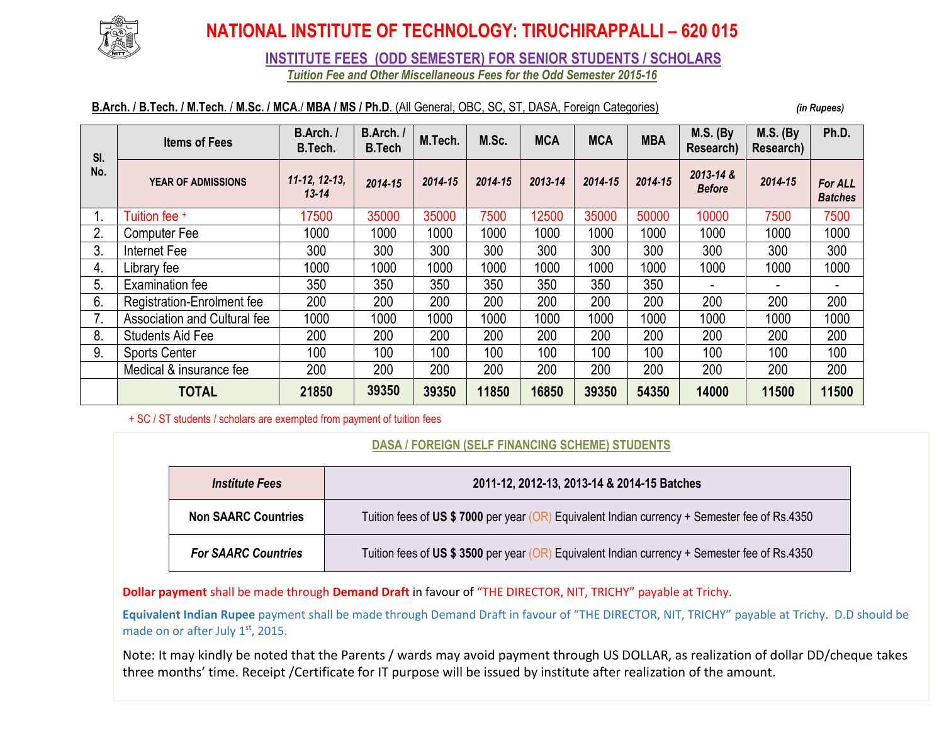

# **NATIONAL INSTITUTE OF TECHNOLOGY: TIRUCHIRAPPALLI – 620 015**

**INSTITUTE FEES (ODD SEMESTER) FOR SENIOR STUDENTS / SCHOLARS**

*Tuition Fee and Other Miscellaneous Fees for the Odd Semester 2015-16*

### **B.Arch. / B.Tech. / M.Tech**. / **M.Sc. / MCA**./ **MBA / MS / Ph.D**. (All General, OBC, SC, ST, DASA, Foreign Categories) *(in Rupees)*

| SI.<br>No. | <b>Items of Fees</b>         | B.Arch./<br>B.Tech.          | B.Arch./<br><b>B.Tech</b> | M.Tech. | M.Sc.   | <b>MCA</b> | <b>MCA</b> | <b>MBA</b> | <b>M.S. (By</b><br>Research) | <b>M.S. (By</b><br>Research) | Ph.D.                            |
|------------|------------------------------|------------------------------|---------------------------|---------|---------|------------|------------|------------|------------------------------|------------------------------|----------------------------------|
|            | <b>YEAR OF ADMISSIONS</b>    | $11-12, 12-13,$<br>$13 - 14$ | 2014-15                   | 2014-15 | 2014-15 | 2013-14    | 2014-15    | 2014-15    | 2013-14 &<br><b>Before</b>   | 2014-15                      | <b>For ALL</b><br><b>Batches</b> |
|            | Tuition fee +                | 17500                        | 35000                     | 35000   | 7500    | 12500      | 35000      | 50000      | 10000                        | 7500                         | 7500                             |
| 2.         | <b>Computer Fee</b>          | 1000                         | 1000                      | 1000    | 1000    | 1000       | 1000       | 1000       | 1000                         | 1000                         | 1000                             |
| 3.         | Internet Fee                 | 300                          | 300                       | 300     | 300     | 300        | 300        | 300        | 300                          | 300                          | 300                              |
| 4.         | Library fee                  | 1000                         | 1000                      | 1000    | 1000    | 1000       | 1000       | 1000       | 1000                         | 1000                         | 1000                             |
| 5.         | Examination fee              | 350                          | 350                       | 350     | 350     | 350        | 350        | 350        |                              |                              |                                  |
| 6.         | Registration-Enrolment fee   | 200                          | 200                       | 200     | 200     | 200        | 200        | 200        | 200                          | 200                          | 200                              |
| 7.         | Association and Cultural fee | 1000                         | 1000                      | 1000    | 1000    | 1000       | 1000       | 1000       | 1000                         | 1000                         | 1000                             |
| 8.         | <b>Students Aid Fee</b>      | 200                          | 200                       | 200     | 200     | 200        | 200        | 200        | 200                          | 200                          | 200                              |
| 9.         | <b>Sports Center</b>         | 100                          | 100                       | 100     | 100     | 100        | 100        | 100        | 100                          | 100                          | 100                              |
|            | Medical & insurance fee      | 200                          | 200                       | 200     | 200     | 200        | 200        | 200        | 200                          | 200                          | 200                              |
|            | <b>TOTAL</b>                 | 21850                        | 39350                     | 39350   | 11850   | 16850      | 39350      | 54350      | 14000                        | 11500                        | 11500                            |

+ SC / ST students / scholars are exempted from payment of tuition fees

#### **DASA / FOREIGN (SELF FINANCING SCHEME) STUDENTS**

| Institute Fees             | 2011-12, 2012-13, 2013-14 & 2014-15 Batches                                                     |  |  |  |  |
|----------------------------|-------------------------------------------------------------------------------------------------|--|--|--|--|
| <b>Non SAARC Countries</b> | Tuition fees of US \$7000 per year (OR<br>Equivalent Indian currency + Semester fee of Rs.4350  |  |  |  |  |
| <b>For SAARC Countries</b> | Tuition fees of US \$ 3500 per year (OF<br>Equivalent Indian currency + Semester fee of Rs.4350 |  |  |  |  |

**Dollar payment** shall be made through **Demand Draft** in favour of "THE DIRECTOR, NIT, TRICHY" payable at Trichy.

**Equivalent Indian Rupee** payment shall be made through Demand Draft in favour of "THE DIRECTOR, NIT, TRICHY" payable at Trichy. D.D should be made on or after July 1<sup>st</sup>, 2015.

Note: It may kindly be noted that the Parents / wards may avoid payment through US DOLLAR, as realization of dollar DD/cheque takes three months' time. Receipt /Certificate for IT purpose will be issued by institute after realization of the amount.